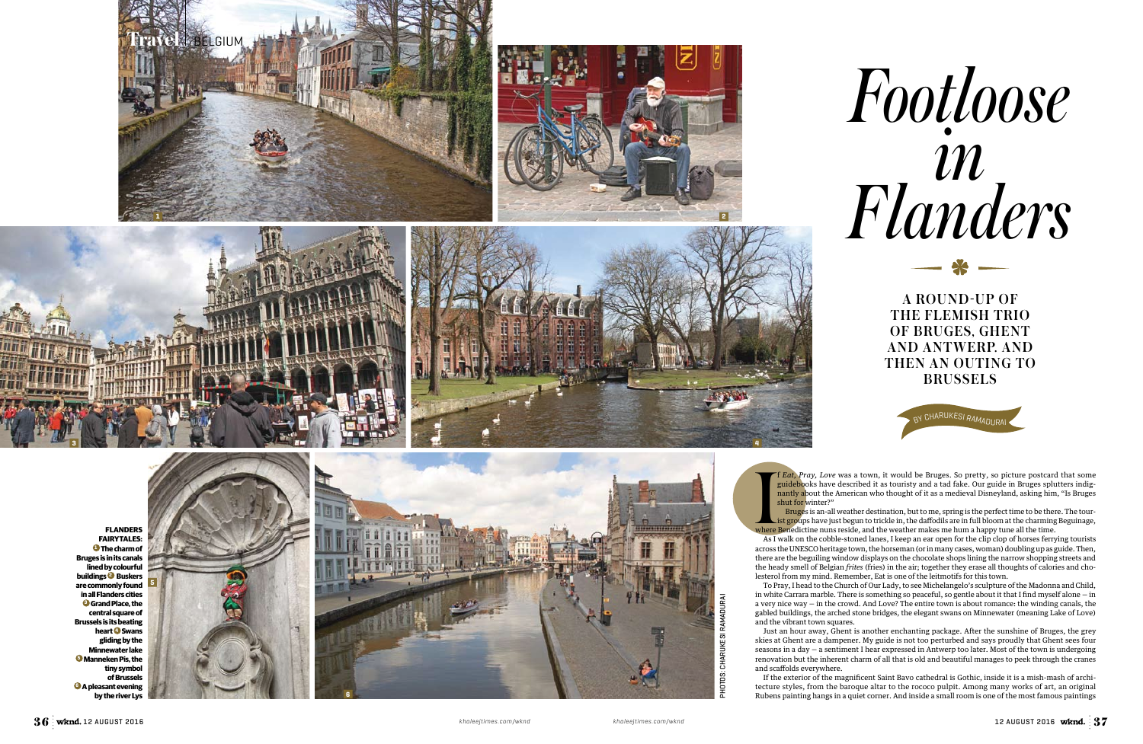Where As I shut for winter?"



f *Eat, Pray, Love* was a town, it would be Bruges. So pretty, so picture postcard that some guidebooks have described it as touristy and a tad fake. Our guide in Bruges splutters indignantly about the American who thought of it as a medieval Disneyland, asking him, "Is Bruges

**BRUSSELS** 

BY CHARUKESI RAMADURA

Bruges is an-all weather destination, but to me, spring is the perfect time to be there. The tourist groups have just begun to trickle in, the daffodils are in full bloom at the charming Beguinage, where Benedictine nuns reside, and the weather makes me hum a happy tune all the time.

As I walk on the cobble-stoned lanes, I keep an ear open for the clip clop of horses ferrying tourists across the UNESCO heritage town, the horseman (or in many cases, woman) doubling up as guide. Then, there are the beguiling window displays on the chocolate shops lining the narrow shopping streets and the heady smell of Belgian *frites* (fries) in the air; together they erase all thoughts of calories and cho lesterol from my mind. Remember, Eat is one of the leitmotifs for this town.





To Pray, I head to the Church of Our Lady, to see Michelangelo's sculpture of the Madonna and Child, in white Carrara marble. There is something so peaceful, so gentle about it that I find myself alone — in a very nice way — in the crowd. And Love? The entire town is about romance: the winding canals, the gabled buildings, the arched stone bridges, the elegant swans on Minnewater (meaning Lake of Love)

and the vibrant town squares.

Just an hour away, Ghent is another enchanting package. After the sunshine of Bruges, the grey skies at Ghent are a dampener. My guide is not too perturbed and says proudly that Ghent sees four seasons in a day — a sentiment I hear expressed in Antwerp too later. Most of the town is undergoing renovation but the inherent charm of all that is old and beautiful manages to peek through the cranes

and scaffolds everywhere.

If the exterior of the magnificent Saint Bavo cathedral is Gothic, inside it is a mish-mash of archi tecture styles, from the baroque altar to the rococo pulpit. Among many works of art, an original Rubens painting hangs in a quiet corner. And inside a small room is one of the most famous paintings